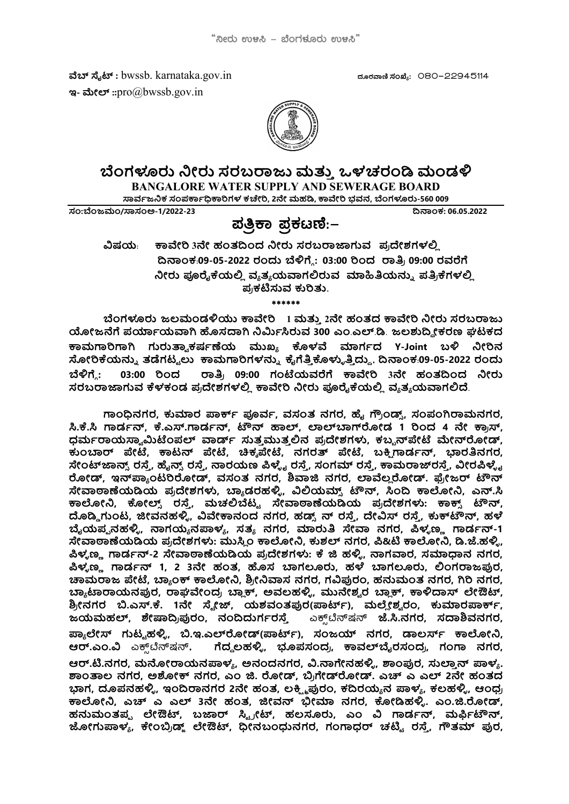ๅ ഡ : bwssb. karnataka.gov.in ರ฿ಒ: 080-22945114 ಇ- ಮೇಲ್ :: $\text{pro}(a)$ bwssb.gov.in



## ಬೆಂಗಳೂರು ನೀರು ಸರಬರಾಜು ಮತ್ತು ಒಳಚರಂಡಿ ಮಂಡಳಿ

BANGALORE WATER SUPPLY AND SEWERAGE BOARD

ಸಾರ್ವಜನಿಕ ಸಂಪರ್ಕಾಧಿಕಾರಿಗಳ ಕಚೇರಿ, 2ನೇ ಮಹಡಿ, ಕಾವೇರಿ ಭವನ, ಬೆಂಗಳೂರು-560 009

:ಂಜ/ಅ-1/2022-23 ൽකಂಕ: 06.05.2022

# ಪ್ರತ್ತಿಕಾ ಪ್ರಕಟಣೆ:–

ವಿಷಯ: ಕಾವೇರಿ 3ನೇ ಹಂತದಿಂದ ನೀರು ಸರಬರಾಜಾಗುವ ಪ್ರದೇಶಗಳಲ್ಲಿ ದಿನಾಂಕ:09-05-2022 ರಂದು ಬೆಳಿಗ್ಗೆ: 03:00 ರಿಂದ ರಾತ್ರಿ 09:00 ರವರೆಗೆ ನೀರು ಪೂರೈಕೆಯಲ್ಲಿ ವ್ಯತ್ಯಯವಾಗಲಿರುವ ಮಾಹಿತಿಯನ್ನು ಪತ್ರಿಕೆಗಳಲ್ಲಿ ಪ್ರಕಟಿಸುವ ಕುರಿತು.

\*\*\*\*\*\*

ಬೆಂಗಳೂರು ಜಲಮಂಡಳಿಯು ಕಾವೇರಿ  $1$  ಮತ್ತು 2ನೇ ಹಂತದ ಕಾವೇರಿ ನೀರು ಸರಬರಾಜು ಯೋಜನೆಗೆ ಪರ್ಯಾಯವಾಗಿ ಹೊಸದಾಗಿ ನಿರ್ಮಿಸಿರುವ 300 ಎಂ.ಎಲ್.ಡಿ. ಜಲಶುದ್ರೀಕರಣ ಘಟಕದ ಕಾಮಗಾರಿಗಾಗಿ ಗುರುತ್ವಾಕರ್ಷಣೆಯ ಮುಖ್ಯ ಕೊಳವೆ ಮಾರ್ಗದ Y-Joint ಬಳಿ ನೀರಿನ ಸೋರಿಕೆಯನ್ನು ತಡೆಗಟ್ಟಲು ಕಾಮಗಾರಿಗಳನ್ನು ಕೈಗೆತ್ತಿಕೊಳ್ಳುತ್ತಿದ್ದು, ದಿನಾಂಕ:09-05-2022 ರಂದು  $\mathfrak{r}$ ್ರಿಗೆ.: 03:00 ರಿಂದ ರಾತ್ರಿ 09:00 ಗಂಟೆಯವರೆಗೆ ಕಾವೇರಿ 3ನೇ ಹಂತದಿಂದ ನೀರು ಸರಬರಾಜಾಗುವ ಕೆಳಕಂಡ ಪ್ರದೇಶಗಳಲ್ಲಿ ಕಾವೇರಿ ನೀರು ಪೂರೈಕೆಯಲ್ಲಿ ವ್ಯತ್ಯಯವಾಗಲಿದೆ.

ಗಾಂಧಿನಗರ, ಕುಮಾರ ಪಾರ್ಕ್ ಪೂರ್ವ, ವಸಂತ ನಗರ, ಹೈ ಗ್ರೌಂಡ್ಸ್, ಸಂಪಂಗಿರಾಮನಗರ, ಸಿ.ಕೆ.ಸಿ ಗಾರ್ಡನ್, ಕೆ.ಎಸ್.ಗಾರ್ಡನ್, ಟೌನ್ ಹಾಲ್, ಲಾಲ್ ಬಾಗ್ ರೋಡ 1 ರಿಂದ 4 ನೇ ಕ್ರಾಸ್, ಧರ್ಮರಾಯಸ್ವಾಮಿಟೆಂಪಲ್ ವಾರ್ಡ್ ಸುತ್ತಮುತ್ತಲಿನ ಪ್ರದೇಶಗಳು, ಕಬ್ಬನ್ ಪೇಟೆ ಮೇನ್ರೋಡ್, ಕುಂಬಾರ್ ಪೇಟೆ, ಕಾಟನ್ ಪೇಟೆ, ಚಿಕ್ಕಪೇಟೆ, ನಗರತ್ ಪೇಟೆ, ಬಕ್ಸಿಗಾರ್ಡನ್, ಭಾರತಿನಗರ, ಸೇಂಟ್ ಜಾನ್ಸ್ ರಸ್ತೆ, ಹೈನ್ಸ್ ರಸ್ತೆ, ನಾರಯಣ ಪಿಳ್ಳೈ ರಸ್ತೆ, ಸಂಗಮ್ ರಸ್ತೆ, ಕಾಮರಾಜ್ ರಸ್ತೆ, ವೀರಪಿಳ್ಳೈ ರೋಡ್, ಇನ್ಪ್ಯಾಂಟರಿರೋಡ್, ವಸಂತ ನಗರ, ಶಿವಾಜಿ ನಗರ, ಲಾವೆಲ್ಲರೋಡ್. ಫ್ರೇಜರ್ ಟೌನ್ ಸೇವಾಠಾಣೆಯಡಿಯ ಪ್ರದೇಶಗಳು, ಬ್ಯಾಡರಹಳ್ಳಿ, ವಿಲಿಯಮ್ಸ್ ಟೌನ್, ಸಿಂದಿ ಕಾಲೋನಿ, ಎನ್.ಸಿ ಕಾಲೋನಿ, ಕೋಲ್ಸ್ ರಸ್ತೆ, ಮಚಲಿಬೆಟ್ಟ ಸೇವಾಠಾಣೆಯಡಿಯ ಪ್ರದೇಶಗಳು: ಕಾಕ್ಸ್ ಟೌನ್,<br>ದೊಡ್ಡಿಗುಂಟ, ಜೀವನಹಳ್ಳಿ, ವಿವೇಕಾನಂದ ನಗರ, ಹಡ್ಸ್ಟನ್ ರಸ್ತೆ, ದೇವಿಸ್ ರಸ್ತೆ, ಕುಕ್**ಟೌನ್, ಹಳೆ** ಬೈಯಪ್ಪನಹಳ್ಳಿ, ನಾಗಯ್ಯನಪಾಳ್ಯ, ಸತ್ಯ ನಗರ, ಮಾರುತಿ ಸೇವಾ ನಗರ, ಪಿಳ್ನಣ್ಣ ಗಾರ್ಡನ್-1 ಸೇವಾಠಾಣೆಯಡಿಯ ಪ್ರದೇಶಗಳು: ಮುಸ್ತಿಂ ಕಾಲೋನಿ, ಕುಶಲ್ ನಗರ, ಪಿ&ಟಿ ಕಾಲೋನಿ, ಡಿ.ಜೆ.ಹಳ್ಳಿ, ಪಿಳ್ಯಣ್ಣ ಗಾರ್ಡನ್-2 ಸೇವಾಠಾಣೆಯಡಿಯ ಪ್ರದೇಶಗಳು: ಕೆ ಜಿ ಹಳ್ಳಿ, ನಾಗವಾರ, ಸಮಾಧಾನ ನಗರ, ಪಿಳ್ಳಣ್ಣ ಗಾರ್ಡನ್ 1, 2 3ನೇ ಹಂತ, ಹೊಸ ಬಾಗಲೂರು, ಹಳೆ ಬಾಗಲೂರು, ಲಿಂಗರಾಜಪುರ,<br>ಚಾಮರಾಜ ಪೇಟೆ, ಬ್ಯಾಂಕ್ ಕಾಲೋನಿ, ಶ್ರೀನಿವಾಸ ನಗರ, ಗವಿಪುರಂ, ಹನುಮಂತ ನಗರ, ಗಿರಿ ನಗರ, ಬ್ಯಾಟಾರಾಯನಫುರ, ರಾಘವೇಂದ್ರ ಬ್ಯಾಕ್, ಅವಲಹಳ್ಳಿ, ಮುನೇಶ್ವರ ಬ್ಯಾಕ್, ಕಾಳಿದಾಸ್ ಲೇಔಟ್, ಶ್ರೀನಗರ ಬಿ.ಎಸ್.ಕೆ. 1ನೇ ಸ್ಮೇಜ್, ಯಶವಂತಪುರ(ಪಾರ್ಟ್), ಮಲ್ಲೇಶ್ವರಂ, ಕುಮಾರಪಾರ್ಕ್, ಜಯಮಹಲ್, ಶೇಷಾದ್ರಿಪುರಂ, ನಂದಿದುರ್ಗರಸ್ತೆ ಎಕ್ಸ್ಟ್ರೆಸ್ಷನ್ ಜೆ.ಸಿ.ನಗರ, ಸದಾಶಿವನಗರ, ಪ್ಯಾಲೇಸ್ ಗುಟ್ಟಹಳ್ಳಿ, ಬಿ.ಇ.ಎಲ್ರೋಡ್(ಪಾರ್ಟ್), ಸಂಜಯ್ ನಗರ, ಡಾಲರ್ಸ್ ಕಾಲೋನಿ, ಆರ್.ಎಂ.ವಿ ಎಕ್ಸ್ಟ್ರೆನ್ಷ್ನನ್, ಗೆದ್ದಲಹಳ್ಳಿ, ಭೂಪಸಂದ್ರ, ಕಾವಲ್ ಬೈರಸಂದ್ರ, ಗಂಗಾ ನಗರ, ಆರ್.ಟಿ.ನಗರ, ಮನೋರಾಯನಪಾಳ್ಯ, ಅನಂದನಗರ, ವಿ.ನಾಗೇನಹಳ್ಳಿ, ಶಾಂಪುರ, ಸುಲ್ತಾನ್ ಪಾಳ್ಯ.<br>ಶಾಂತಾಲ ನಗರ, ಅಶೋಕ್ ನಗರ, ಎಂ ಜಿ. ರೋಡ್, ಬ್ರಿಗೇಡ್ರೋಡ್. ಎಚ್ ಎ ಎಲ್ 2ನೇ ಹಂತದ ಭಾಗ, ದೂಪನಹಳ್ಳಿ, ಇಂದಿರಾನಗರ 2ನೇ ಹಂತ, ಲಕ್ಷ್ಮಿಫುರಂ, ಕದಿರಯ್ಯನ ಪಾಳ್ಯ, ಕಲಹಳ್ಳಿ, ಆಂಧ್ರ ಕಾಲೋನಿ, ಎಚ್ ಎ ಎಲ್ 3ನೇ ಹಂತ, ಜೀವನ್ ಭೀಮಾ ನಗರ, ಕೋಡಿಹಳ್ಳಿ. ಎಂ.ಜಿ.ರೋಡ್, ಹನುಮಂತಪ್ಪ ಲೇಔಟ್, ಬಜಾರ್ ಸ್ಟ್ರೀಟ್, ಹಲಸೂರು, ಎಂ ವಿ ಗಾರ್ಡನ್, ಮರ್ಫಿಟೌನ್,<br>ಜೋಗುಪಾಳ್ಯ, ಕೇಂಬ್ರಿಡ್ಜ್ ಲೇಔಟ್, ಧೀನಬಂಧುನಗರ, ಗಂಗಾಧರ್ ಚಟ್ಟಿ ರಸ್ತೆ, ಗೌತಮ್ ಪುರ,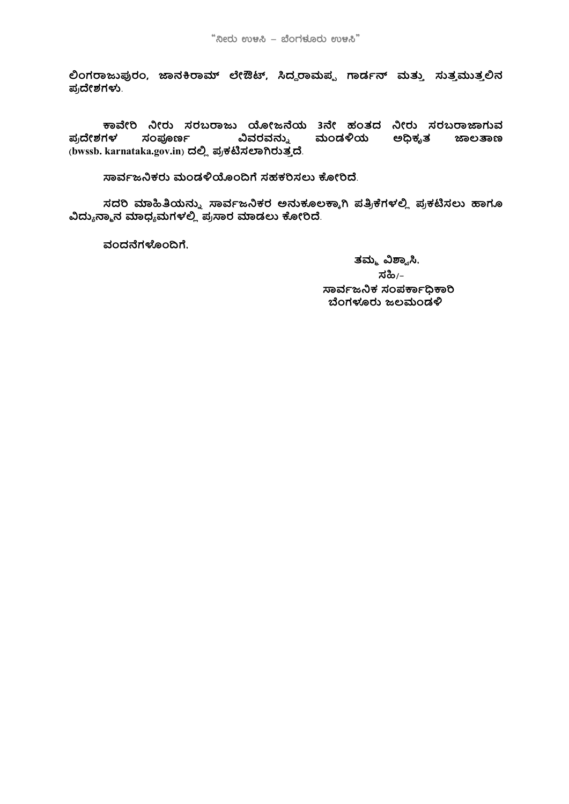ಲಿಂಗರಾಜುಪುರಂ, ಜಾನಕಿರಾಮ್ ಲೇಔಟ್, ಸಿದ್ದರಾಮಪ್ಪ ಗಾರ್ಡನ್ ಮತ್ತು ಸುತ್ತಮುತ್ತಲಿನ ಪ್ರದೇಶಗಳು.

ಕಾವೇರಿ ನೀರು ಸರಬರಾಜು ಯೋಜನೆಯ 3ನೇ ಹಂತದ ನೀರು ಸರಬರಾಜಾಗುವ ಸಂಪೂರ್ಣ ವಿವರವನ್ನು ಮಂಡಳಿಯ ಅಧಿಕೃತ ಪ್ರದೇಶಗಳ ಜಾಲತಾಣ (bwssb. karnataka.gov.in) ದಲ್ಲಿ ಪ್ರಕಟಿಸಲಾಗಿರುತ್ತದೆ.

ಸಾರ್ವಜನಿಕರು ಮಂಡಳಿಯೊಂದಿಗೆ ಸಹಕರಿಸಲು ಕೋರಿದೆ.

ಸದರಿ ಮಾಹಿತಿಯನ್ನು ಸಾರ್ವಜನಿಕರ ಅನುಕೂಲಕ್ಕಾಗಿ ಪತ್ರಿಕೆಗಳಲ್ಲಿ ಪ್ರಕಟಿಸಲು ಹಾಗೂ ವಿದ್ಯುನ್ಮಾನ ಮಾಧ್ಯಮಗಳಲ್ಲಿ ಪ್ರಸಾರ ಮಾಡಲು ಕೋರಿದೆ.

ವಂದನೆಗಳೊಂದಿಗೆ,

ತಮ್ಮ ವಿಶ್ವಾಸಿ, ಸಹಿ/– ಸಾರ್ವಜನಿಕ ಸಂಪರ್ಕಾದಿಕಾರಿ ಬೆಂಗಳೂರು ಜಲಮಂಡಳಿ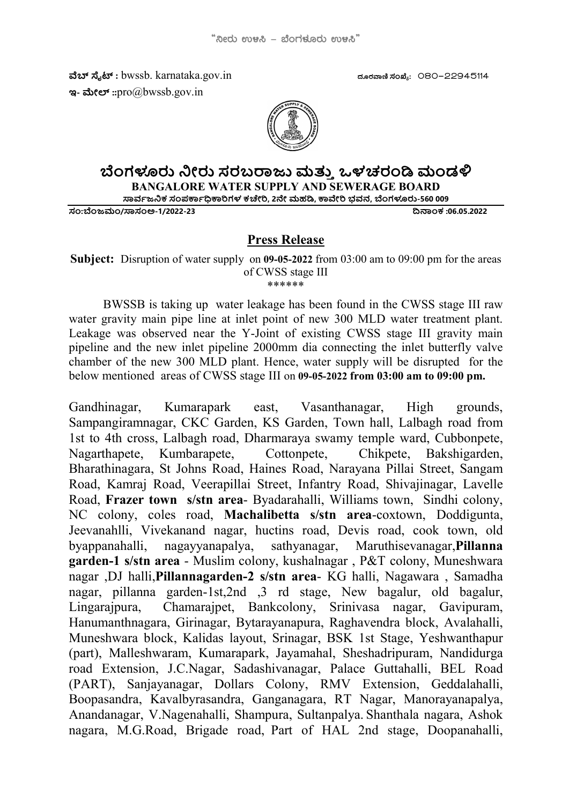ๅ ഡ : bwssb. karnataka.gov.in ರ฿ಒ: 080-22945114 ಇ- ಮೇಲ್:: $\text{pro}(\widehat{a})$ bwssb.gov.in



## ಬೆಂಗಳೂರು ನೀರು ಸರಬರಾಜು ಮತ್ತು ಒಳಚರಂಡಿ ಮಂಡಳಿ

BANGALORE WATER SUPPLY AND SEWERAGE BOARD

ಸಾರ್ವಜನಿಕ ಸಂಪರ್ಕಾಧಿಕಾರಿಗಳ ಕಚೇರಿ, 2ನೇ ಮಹಡಿ, ಕಾವೇರಿ ಭವನ, ಬೆಂಗಳೂರು-560 009

:ಂಜ/ಅ-1/2022-23 ൽකಂಕ :06.05.2022

#### Press Release

Subject: Disruption of water supply on 09-05-2022 from 03:00 am to 09:00 pm for the areas of CWSS stage III \*\*\*\*\*\*

BWSSB is taking up water leakage has been found in the CWSS stage III raw water gravity main pipe line at inlet point of new 300 MLD water treatment plant. Leakage was observed near the Y-Joint of existing CWSS stage III gravity main pipeline and the new inlet pipeline 2000mm dia connecting the inlet butterfly valve chamber of the new 300 MLD plant. Hence, water supply will be disrupted for the below mentioned areas of CWSS stage III on 09-05-2022 from 03:00 am to 09:00 pm.

Gandhinagar, Kumarapark east, Vasanthanagar, High grounds, Sampangiramnagar, CKC Garden, KS Garden, Town hall, Lalbagh road from 1st to 4th cross, Lalbagh road, Dharmaraya swamy temple ward, Cubbonpete, Nagarthapete, Kumbarapete, Cottonpete, Chikpete, Bakshigarden, Bharathinagara, St Johns Road, Haines Road, Narayana Pillai Street, Sangam Road, Kamraj Road, Veerapillai Street, Infantry Road, Shivajinagar, Lavelle Road, Frazer town s/stn area- Byadarahalli, Williams town, Sindhi colony, NC colony, coles road, Machalibetta s/stn area-coxtown, Doddigunta, Jeevanahlli, Vivekanand nagar, huctins road, Devis road, cook town, old byappanahalli, nagayyanapalya, sathyanagar, Maruthisevanagar,Pillanna garden-1 s/stn area - Muslim colony, kushalnagar , P&T colony, Muneshwara nagar ,DJ halli,Pillannagarden-2 s/stn area- KG halli, Nagawara , Samadha nagar, pillanna garden-1st,2nd ,3 rd stage, New bagalur, old bagalur, Lingarajpura, Chamarajpet, Bankcolony, Srinivasa nagar, Gavipuram, Hanumanthnagara, Girinagar, Bytarayanapura, Raghavendra block, Avalahalli, Muneshwara block, Kalidas layout, Srinagar, BSK 1st Stage, Yeshwanthapur (part), Malleshwaram, Kumarapark, Jayamahal, Sheshadripuram, Nandidurga road Extension, J.C.Nagar, Sadashivanagar, Palace Guttahalli, BEL Road (PART), Sanjayanagar, Dollars Colony, RMV Extension, Geddalahalli, Boopasandra, Kavalbyrasandra, Ganganagara, RT Nagar, Manorayanapalya, Anandanagar, V.Nagenahalli, Shampura, Sultanpalya. Shanthala nagara, Ashok nagara, M.G.Road, Brigade road, Part of HAL 2nd stage, Doopanahalli,